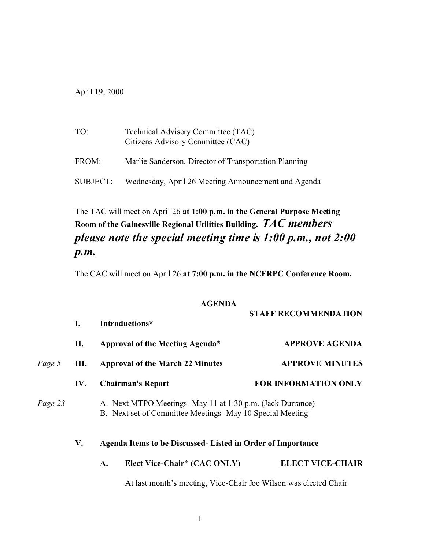April 19, 2000

| TO:      | Technical Advisory Committee (TAC)<br>Citizens Advisory Committee (CAC) |
|----------|-------------------------------------------------------------------------|
| FROM:    | Marlie Sanderson, Director of Transportation Planning                   |
| SUBJECT: | Wednesday, April 26 Meeting Announcement and Agenda                     |

## The TAC will meet on April 26 **at 1:00 p.m. in the General Purpose Meeting Room of the Gainesville Regional Utilities Building.** *TAC members please note the special meeting time is 1:00 p.m., not 2:00 p.m.*

The CAC will meet on April 26 **at 7:00 p.m. in the NCFRPC Conference Room.**

## **AGENDA**

|         |     |                                                                                                                         | <b>STAFF RECOMMENDATION</b> |  |
|---------|-----|-------------------------------------------------------------------------------------------------------------------------|-----------------------------|--|
|         | I.  | Introductions*                                                                                                          |                             |  |
|         | П.  | Approval of the Meeting Agenda*                                                                                         | <b>APPROVE AGENDA</b>       |  |
| Page 5  | Ш.  | <b>Approval of the March 22 Minutes</b>                                                                                 | <b>APPROVE MINUTES</b>      |  |
|         | IV. | <b>Chairman's Report</b>                                                                                                | FOR INFORMATION ONLY        |  |
| Page 23 |     | A. Next MTPO Meetings- May 11 at 1:30 p.m. (Jack Durrance)<br>B. Next set of Committee Meetings- May 10 Special Meeting |                             |  |
|         | V.  | Agenda Items to be Discussed- Listed in Order of Importance                                                             |                             |  |
|         |     | Elect Vice-Chair* (CAC ONLY)<br>A.                                                                                      | <b>ELECT VICE-CHAIR</b>     |  |
|         |     | At last month's meeting, Vice-Chair Joe Wilson was elected Chair                                                        |                             |  |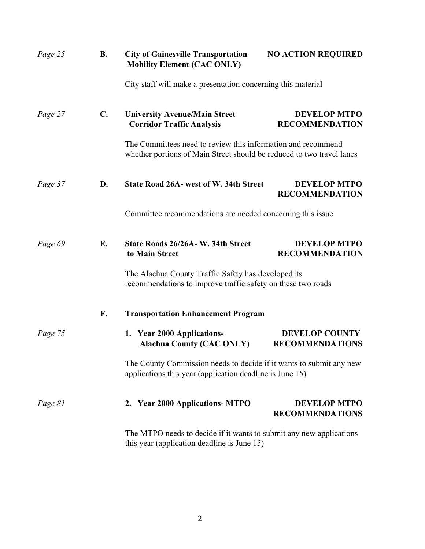| Page 25 | <b>B.</b>      | <b>City of Gainesville Transportation</b><br><b>Mobility Element (CAC ONLY)</b>                                                       | <b>NO ACTION REQUIRED</b>                       |
|---------|----------------|---------------------------------------------------------------------------------------------------------------------------------------|-------------------------------------------------|
|         |                | City staff will make a presentation concerning this material                                                                          |                                                 |
| Page 27 | $\mathbf{C}$ . | <b>University Avenue/Main Street</b><br><b>Corridor Traffic Analysis</b>                                                              | <b>DEVELOP MTPO</b><br><b>RECOMMENDATION</b>    |
|         |                | The Committees need to review this information and recommend<br>whether portions of Main Street should be reduced to two travel lanes |                                                 |
| Page 37 | D.             | <b>State Road 26A- west of W. 34th Street</b>                                                                                         | <b>DEVELOP MTPO</b><br><b>RECOMMENDATION</b>    |
|         |                | Committee recommendations are needed concerning this issue.                                                                           |                                                 |
| Page 69 | E.             | State Roads 26/26A-W. 34th Street<br>to Main Street                                                                                   | <b>DEVELOP MTPO</b><br><b>RECOMMENDATION</b>    |
|         |                | The Alachua County Traffic Safety has developed its<br>recommendations to improve traffic safety on these two roads                   |                                                 |
|         | F.             | <b>Transportation Enhancement Program</b>                                                                                             |                                                 |
| Page 75 |                | 1. Year 2000 Applications-<br><b>Alachua County (CAC ONLY)</b>                                                                        | <b>DEVELOP COUNTY</b><br><b>RECOMMENDATIONS</b> |
|         |                | The County Commission needs to decide if it wants to submit any new<br>applications this year (application deadline is June 15)       |                                                 |
| Page 81 |                | 2. Year 2000 Applications- MTPO                                                                                                       | <b>DEVELOP MTPO</b><br><b>RECOMMENDATIONS</b>   |
|         |                | The MTPO needs to decide if it wants to submit any new applications<br>this year (application deadline is June 15)                    |                                                 |